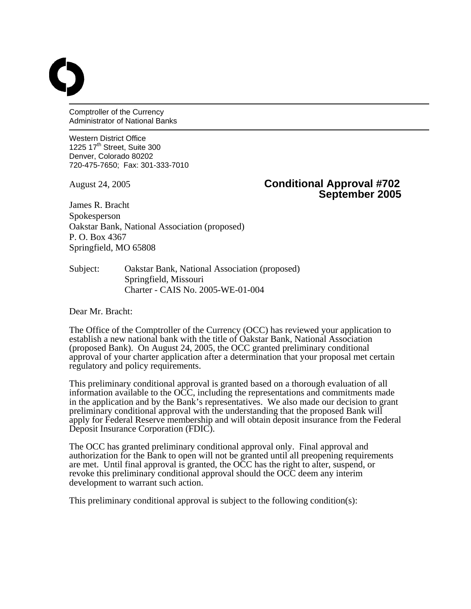Comptroller of the Currency Administrator of National Banks

Western District Office 1225  $17<sup>th</sup>$  Street, Suite 300 Denver, Colorado 80202 720-475-7650; Fax: 301-333-7010

## August 24, 2005 **Conditional Approval #702 September 2005**

James R. Bracht Spokesperson Oakstar Bank, National Association (proposed) P. O. Box 4367 Springfield, MO 65808

Subject: Oakstar Bank, National Association (proposed) Springfield, Missouri Charter - CAIS No. 2005-WE-01-004

Dear Mr. Bracht:

The Office of the Comptroller of the Currency (OCC) has reviewed your application to establish a new national bank with the title of Oakstar Bank, National Association (proposed Bank). On August 24, 2005, the OCC granted preliminary conditional approval of your charter application after a determination that your proposal met certain regulatory and policy requirements.

This preliminary conditional approval is granted based on a thorough evaluation of all information available to the OCC, including the representations and commitments made in the application and by the Bank's representatives. We also made our decision to grant preliminary conditional approval with the understanding that the proposed Bank will apply for Federal Reserve membership and will obtain deposit insurance from the Federal Deposit Insurance Corporation (FDIC).

The OCC has granted preliminary conditional approval only. Final approval and authorization for the Bank to open will not be granted until all preopening requirements are met. Until final approval is granted, the OCC has the right to alter, suspend, or revoke this preliminary conditional approval should the OCC deem any interim development to warrant such action.

This preliminary conditional approval is subject to the following condition(s):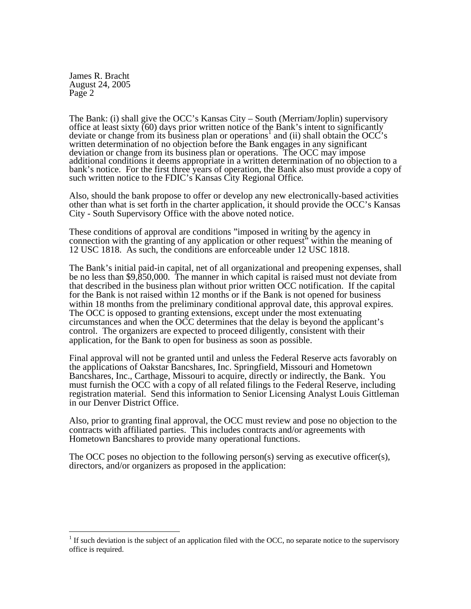1

The Bank: (i) shall give the OCC's Kansas City – South (Merriam/Joplin) supervisory office at least sixty (60) days prior written notice of the Bank's intent to significantly deviate or change from its business plan or operations<sup>[1](#page-1-0)</sup> and (ii) shall obtain the OCC's written determination of no objection before the Bank engages in any significant deviation or change from its business plan or operations. The OCC may impose additional conditions it deems appropriate in a written determination of no objection to a bank's notice. For the first three years of operation, the Bank also must provide a copy of such written notice to the FDIC's Kansas City Regional Office*.*

Also, should the bank propose to offer or develop any new electronically-based activities other than what is set forth in the charter application, it should provide the OCC's Kansas City - South Supervisory Office with the above noted notice.

These conditions of approval are conditions "imposed in writing by the agency in connection with the granting of any application or other request" within the meaning of 12 USC 1818. As such, the conditions are enforceable under 12 USC 1818.

The Bank's initial paid-in capital, net of all organizational and preopening expenses, shall be no less than \$9,850,000. The manner in which capital is raised must not deviate from that described in the business plan without prior written OCC notification. If the capital for the Bank is not raised within 12 months or if the Bank is not opened for business within 18 months from the preliminary conditional approval date, this approval expires. The OCC is opposed to granting extensions, except under the most extenuating circumstances and when the OCC determines that the delay is beyond the applicant's control. The organizers are expected to proceed diligently, consistent with their application, for the Bank to open for business as soon as possible.

Final approval will not be granted until and unless the Federal Reserve acts favorably on the applications of Oakstar Bancshares, Inc. Springfield, Missouri and Hometown Bancshares, Inc., Carthage, Missouri to acquire, directly or indirectly, the Bank. You must furnish the OCC with a copy of all related filings to the Federal Reserve, including registration material. Send this information to Senior Licensing Analyst Louis Gittleman in our Denver District Office.

Also, prior to granting final approval, the OCC must review and pose no objection to the contracts with affiliated parties. This includes contracts and/or agreements with Hometown Bancshares to provide many operational functions.

The OCC poses no objection to the following person(s) serving as executive officer(s), directors, and/or organizers as proposed in the application:

<span id="page-1-0"></span> $<sup>1</sup>$  If such deviation is the subject of an application filed with the OCC, no separate notice to the supervisory</sup> office is required.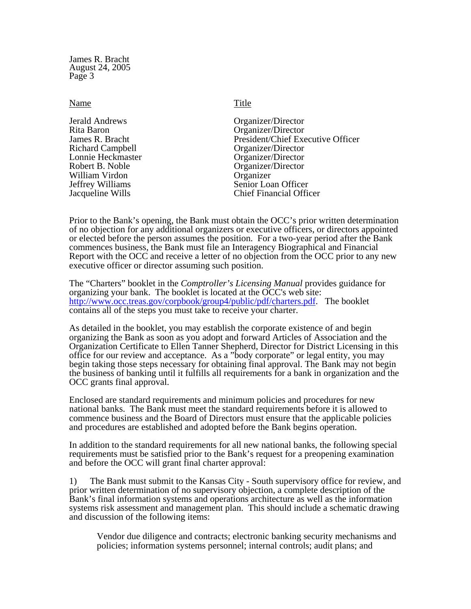## Name Title

Rita Baron Organizer/Director<br>James R. Bracht President/Chief Exe Richard Campbell Organizer/Director Lonnie Heckmaster **Communist Communist Communist Communist Communist Communist Communist Communist Communist Communist Communist Communist Communist Communist Communist Communist Communist Communist Communist Communist Com** William Virdon Organizer<br>
Jeffrey Williams Senior Loa

Jerald Andrews Organizer/Director President/Chief Executive Officer Organizer/Director Senior Loan Officer Jacqueline Wills Chief Financial Officer

Prior to the Bank's opening, the Bank must obtain the OCC's prior written determination of no objection for any additional organizers or executive officers, or directors appointed or elected before the person assumes the position. For a two-year period after the Bank commences business, the Bank must file an Interagency Biographical and Financial Report with the OCC and receive a letter of no objection from the OCC prior to any new executive officer or director assuming such position.

The "Charters" booklet in the *Comptroller's Licensing Manual* provides guidance for organizing your bank. The booklet is located at the OCC's web site: <http://www.occ.treas.gov/corpbook/group4/public/pdf/charters.pdf>. The booklet contains all of the steps you must take to receive your charter.

As detailed in the booklet, you may establish the corporate existence of and begin organizing the Bank as soon as you adopt and forward Articles of Association and the Organization Certificate to Ellen Tanner Shepherd, Director for District Licensing in this office for our review and acceptance. As a "body corporate" or legal entity, you may begin taking those steps necessary for obtaining final approval. The Bank may not begin the business of banking until it fulfills all requirements for a bank in organization and the OCC grants final approval.

Enclosed are standard requirements and minimum policies and procedures for new national banks. The Bank must meet the standard requirements before it is allowed to commence business and the Board of Directors must ensure that the applicable policies and procedures are established and adopted before the Bank begins operation.

In addition to the standard requirements for all new national banks, the following special requirements must be satisfied prior to the Bank's request for a preopening examination and before the OCC will grant final charter approval:

1) The Bank must submit to the Kansas City - South supervisory office for review, and prior written determination of no supervisory objection, a complete description of the Bank's final information systems and operations architecture as well as the information systems risk assessment and management plan. This should include a schematic drawing and discussion of the following items:

Vendor due diligence and contracts; electronic banking security mechanisms and policies; information systems personnel; internal controls; audit plans; and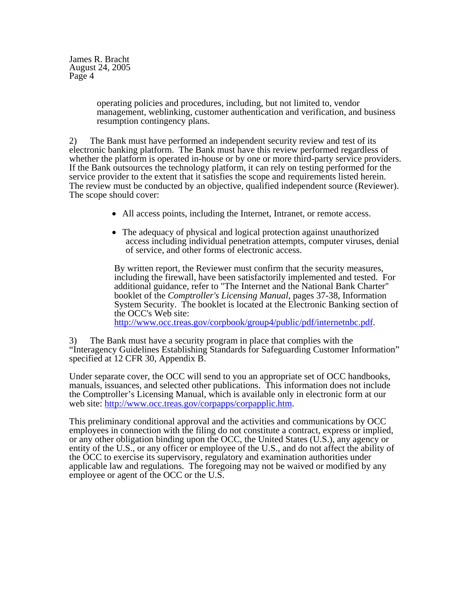> operating policies and procedures, including, but not limited to, vendor management, weblinking, customer authentication and verification, and business resumption contingency plans.

2) The Bank must have performed an independent security review and test of its electronic banking platform. The Bank must have this review performed regardless of whether the platform is operated in-house or by one or more third-party service providers. If the Bank outsources the technology platform, it can rely on testing performed for the service provider to the extent that it satisfies the scope and requirements listed herein. The review must be conducted by an objective, qualified independent source (Reviewer). The scope should cover:

- All access points, including the Internet, Intranet, or remote access.
- The adequacy of physical and logical protection against unauthorized access including individual penetration attempts, computer viruses, denial of service, and other forms of electronic access.

 By written report, the Reviewer must confirm that the security measures, including the firewall, have been satisfactorily implemented and tested. For additional guidance, refer to "The Internet and the National Bank Charter" booklet of the *Comptroller's Licensing Manual*, pages 37-38, Information System Security. The booklet is located at the Electronic Banking section of the OCC's Web site:

[http://www.occ.treas.gov/corpbook/group4/public/pdf/internetnbc.pdf.](http://www.occ.treas.gov/corpbook/group4/public/pdf/internetnbc.pdf)

3) The Bank must have a security program in place that complies with the "Interagency Guidelines Establishing Standards for Safeguarding Customer Information" specified at 12 CFR 30, Appendix B.

Under separate cover, the OCC will send to you an appropriate set of OCC handbooks, manuals, issuances, and selected other publications. This information does not include the Comptroller's Licensing Manual, which is available only in electronic form at our web site: [http://www.occ.treas.gov/corpapps/corpapplic.htm.](http://www.occ.treas.gov/corpapps/corpapplic.htm)

This preliminary conditional approval and the activities and communications by OCC employees in connection with the filing do not constitute a contract, express or implied, or any other obligation binding upon the OCC, the United States (U.S.), any agency or entity of the U.S., or any officer or employee of the U.S., and do not affect the ability of the OCC to exercise its supervisory, regulatory and examination authorities under applicable law and regulations. The foregoing may not be waived or modified by any employee or agent of the OCC or the U.S.